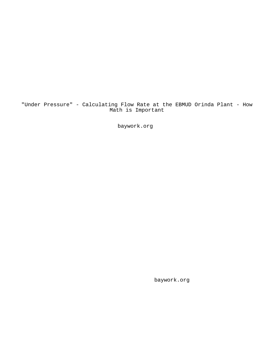"Under Pressure" - Calculating Flow Rate at the EBMUD Orinda Plant - How Math is Important

baywork.org

baywork.org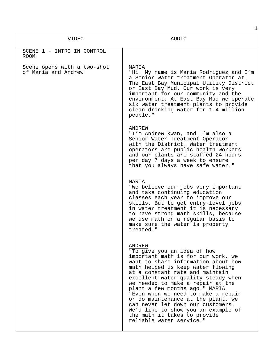|                                                    | 1                                                                                                                                                                                                                                                                                                                                                                                                                                                                                                                             |
|----------------------------------------------------|-------------------------------------------------------------------------------------------------------------------------------------------------------------------------------------------------------------------------------------------------------------------------------------------------------------------------------------------------------------------------------------------------------------------------------------------------------------------------------------------------------------------------------|
| VIDEO                                              | AUDIO                                                                                                                                                                                                                                                                                                                                                                                                                                                                                                                         |
| SCENE 1 - INTRO IN CONTROL<br>ROOM:                |                                                                                                                                                                                                                                                                                                                                                                                                                                                                                                                               |
| Scene opens with a two-shot<br>of Maria and Andrew | MARIA<br>"Hi. My name is Maria Rodriguez and I'm<br>a Senior Water treatment Operator at<br>The East Bay Municipal Utility District<br>or East Bay Mud. Our work is very<br>important for our community and the<br>environment. At East Bay Mud we operate<br>six water treatment plants to provide<br>clean drinking water for 1.4 million<br>people."                                                                                                                                                                       |
|                                                    | ANDREW<br>"I'm Andrew Kwan, and I'm also a<br>Senior Water Treatment Operator<br>with the District. Water treatment<br>operators are public health workers<br>and our plants are staffed 24 hours<br>per day 7 days a week to ensure<br>that you always have safe water."                                                                                                                                                                                                                                                     |
|                                                    | MARIA<br>"We believe our jobs very important<br>and take continuing education<br>classes each year to improve our<br>skills. But to get entry-level jobs<br>in water treatment it is necessary<br>to have strong math skills, because<br>we use math on a regular basis to<br>make sure the water is property<br>treated."                                                                                                                                                                                                    |
|                                                    | ANDREW<br>"To give you an idea of how<br>important math is for our work, we<br>want to share information about how<br>math helped us keep water flowing<br>at a constant rate and maintain<br>excellent water quality steady when<br>we needed to make a repair at the<br>plant a few months ago." MARIA<br>"Even when we need to make a repair<br>or do maintenance at the plant, we<br>can never let down our customers.<br>We'd like to show you an example of<br>the math it takes to provide<br>reliable water service." |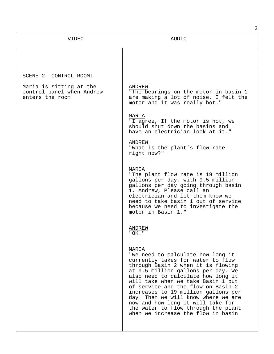|                                                                         | 2                                                                                                                                                                                                                                                                                                                                                                                                                                                                             |
|-------------------------------------------------------------------------|-------------------------------------------------------------------------------------------------------------------------------------------------------------------------------------------------------------------------------------------------------------------------------------------------------------------------------------------------------------------------------------------------------------------------------------------------------------------------------|
| <b>VIDEO</b>                                                            | AUDIO                                                                                                                                                                                                                                                                                                                                                                                                                                                                         |
|                                                                         |                                                                                                                                                                                                                                                                                                                                                                                                                                                                               |
| SCENE 2- CONTROL ROOM:                                                  |                                                                                                                                                                                                                                                                                                                                                                                                                                                                               |
| Maria is sitting at the<br>control panel when Andrew<br>enters the room | ANDREW<br>"The bearings on the motor in basin 1<br>are making a lot of noise. I felt the<br>motor and it was really hot."                                                                                                                                                                                                                                                                                                                                                     |
|                                                                         | MARIA<br>"I agree, If the motor is hot, we<br>should shut down the basins and<br>have an electrician look at it."                                                                                                                                                                                                                                                                                                                                                             |
|                                                                         | ANDREW<br>"What is the plant's flow-rate<br>right now?"                                                                                                                                                                                                                                                                                                                                                                                                                       |
|                                                                         | MARIA<br>"The plant flow rate is 19 million<br>gallons per day, with 9.5 million<br>gallons per day going through basin<br>1. Andrew, Please call an<br>electrician and let them know we<br>need to take basin 1 out of service<br>because we need to investigate the<br>motor in Basin 1."                                                                                                                                                                                   |
|                                                                         | ANDREW<br>$"OK.$ "                                                                                                                                                                                                                                                                                                                                                                                                                                                            |
|                                                                         | MARIA<br>"We need to calculate how long it<br>currently takes for water to flow<br>through Basin 2 when it is flowing<br>at 9.5 million gallons per day. We<br>also need to calculate how long it<br>will take when we take Basin 1 out<br>of service and the flow on Basin 2<br>increases to 19 million gallons per<br>day. Then we will know where we are<br>now and how long it will take for<br>the water to flow through the plant<br>when we increase the flow in basin |